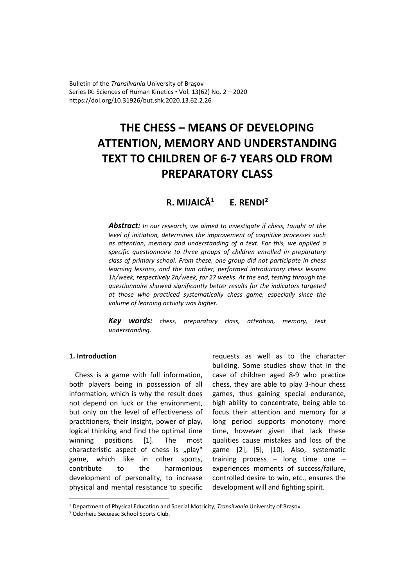Bulletin of the *Transilvania* University of Braşov Series IX: Sciences of Human Kinetics • Vol. 13(62) No. 2 – 2020 https://doi.org/10.31926/but.shk.2020.13.62.2.26

# **THE CHESS – MEANS OF DEVELOPING ATTENTION, MEMORY AND UNDERSTANDING TEXT TO CHILDREN OF 6-7 YEARS OLD FROM PREPARATORY CLASS**

**R. MIJAICĂ[1](#page-0-0) E. RENDI[2](#page-0-1)**

*Abstract: In our research, we aimed to investigate if chess, taught at the level of initiation, determines the improvement of cognitive processes such as attention, memory and understanding of a text. For this, we applied a specific questionnaire to three groups of children enrolled in preparatory class of primary school. From these, one group did not participate in chess learning lessons, and the two other, performed introductory chess lessons 1h/week, respectively 2h/week, for 27 weeks. At the end, testing through the questionnaire showed significantly better results for the indicators targeted at those who practiced systematically chess game, especially since the volume of learning activity was higher.* 

*Key words: chess, preparatory class, attention, memory, text understanding.*

# **1. Introduction**

Chess is a game with full information, both players being in possession of all information, which is why the result does not depend on luck or the environment, but only on the level of effectiveness of practitioners, their insight, power of play, logical thinking and find the optimal time winning positions [1]. The most characteristic aspect of chess is "play" game, which like in other sports, contribute to the harmonious development of personality, to increase physical and mental resistance to specific

requests as well as to the character building. Some studies show that in the case of children aged 8-9 who practice chess, they are able to play 3-hour chess games, thus gaining special endurance, high ability to concentrate, being able to focus their attention and memory for a long period supports monotony more time, however given that lack these qualities cause mistakes and loss of the game [2], [5], [10]. Also, systematic training process – long time one – experiences moments of success/failure, controlled desire to win, etc., ensures the development will and fighting spirit.

<span id="page-0-0"></span><sup>1</sup> Department of Physical Education and Special Motricity, *Transilvania* University of Braşov.

<span id="page-0-1"></span><sup>2</sup> Odorheiu Secuiesc School Sports Club.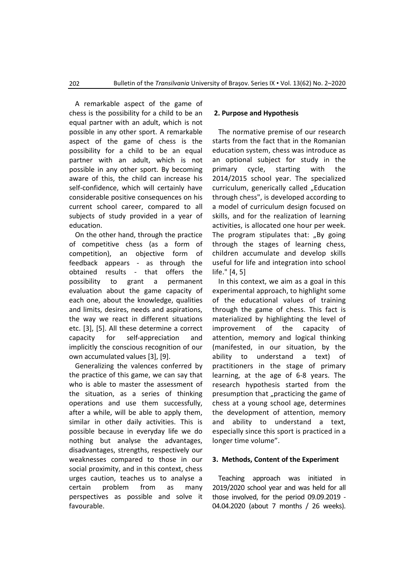A remarkable aspect of the game of chess is the possibility for a child to be an equal partner with an adult, which is not possible in any other sport. A remarkable aspect of the game of chess is the possibility for a child to be an equal partner with an adult, which is not possible in any other sport. By becoming aware of this, the child can increase his self-confidence, which will certainly have considerable positive consequences on his current school career, compared to all subjects of study provided in a year of education.

On the other hand, through the practice of competitive chess (as a form of competition), an objective form of feedback appears - as through the obtained results - that offers the possibility to grant a permanent evaluation about the game capacity of each one, about the knowledge, qualities and limits, desires, needs and aspirations, the way we react in different situations etc. [3], [5]. All these determine a correct capacity for self-appreciation and implicitly the conscious recognition of our own accumulated values [3], [9].

Generalizing the valences conferred by the practice of this game, we can say that who is able to master the assessment of the situation, as a series of thinking operations and use them successfully, after a while, will be able to apply them, similar in other daily activities. This is possible because in everyday life we do nothing but analyse the advantages, disadvantages, strengths, respectively our weaknesses compared to those in our social proximity, and in this context, chess urges caution, teaches us to analyse a certain problem from as many perspectives as possible and solve it favourable.

# **2. Purpose and Hypothesis**

The normative premise of our research starts from the fact that in the Romanian education system, chess was introduce as an optional subject for study in the primary cycle, starting with the 2014/2015 school year. The specialized curriculum, generically called "Education through chess", is developed according to a model of curriculum design focused on skills, and for the realization of learning activities, is allocated one hour per week. The program stipulates that: "By going through the stages of learning chess, children accumulate and develop skills useful for life and integration into school life." [4, 5]

In this context, we aim as a goal in this experimental approach, to highlight some of the educational values of training through the game of chess. This fact is materialized by highlighting the level of improvement of the capacity of attention, memory and logical thinking (manifested, in our situation, by the ability to understand a text) of practitioners in the stage of primary learning, at the age of 6-8 years. The research hypothesis started from the presumption that "practicing the game of chess at a young school age, determines the development of attention, memory and ability to understand a text, especially since this sport is practiced in a longer time volume".

# **3. Methods, Content of the Experiment**

Teaching approach was initiated in 2019/2020 school year and was held for all those involved, for the period 09.09.2019 - 04.04.2020 (about 7 months / 26 weeks).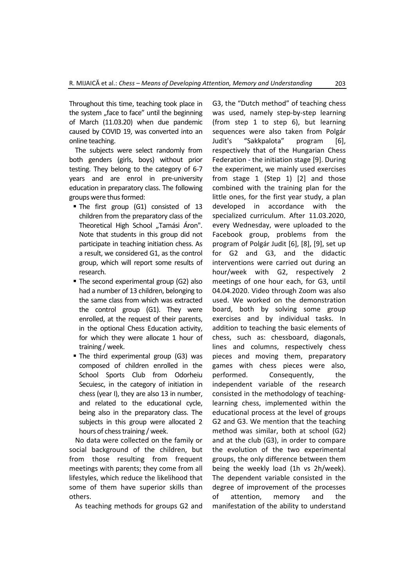Throughout this time, teaching took place in the system "face to face" until the beginning of March (11.03.20) when due pandemic caused by COVID 19, was converted into an online teaching.

The subjects were select randomly from both genders (girls, boys) without prior testing. They belong to the category of 6-7 years and are enrol in pre-university education in preparatory class. The following groups were thus formed:

- The first group (G1) consisted of 13 children from the preparatory class of the Theoretical High School "Tamási Áron". Note that students in this group did not participate in teaching initiation chess. As a result, we considered G1, as the control group, which will report some results of research.
- The second experimental group (G2) also had a number of 13 children, belonging to the same class from which was extracted the control group (G1). They were enrolled, at the request of their parents, in the optional Chess Education activity, for which they were allocate 1 hour of training / week.
- The third experimental group (G3) was composed of children enrolled in the School Sports Club from Odorheiu Secuiesc, in the category of initiation in chess (year I), they are also 13 in number, and related to the educational cycle, being also in the preparatory class. The subjects in this group were allocated 2 hours of chess training / week.

No data were collected on the family or social background of the children, but from those resulting from frequent meetings with parents; they come from all lifestyles, which reduce the likelihood that some of them have superior skills than others.

As teaching methods for groups G2 and

G3, the "Dutch method" of teaching chess was used, namely step-by-step learning (from step 1 to step 6), but learning sequences were also taken from Polgár Judit's "Sakkpalota" program [6], respectively that of the Hungarian Chess Federation - the initiation stage [9]. During the experiment, we mainly used exercises from stage 1 (Step 1) [2] and those combined with the training plan for the little ones, for the first year study, a plan developed in accordance with the specialized curriculum. After 11.03.2020, every Wednesday, were uploaded to the Facebook group, problems from the program of Polgár Judit [6], [8], [9], set up for G2 and G3, and the didactic interventions were carried out during an hour/week with G2, respectively 2 meetings of one hour each, for G3, until 04.04.2020. Video through Zoom was also used. We worked on the demonstration board, both by solving some group exercises and by individual tasks. In addition to teaching the basic elements of chess, such as: chessboard, diagonals, lines and columns, respectively chess pieces and moving them, preparatory games with chess pieces were also, performed. Consequently, the independent variable of the research consisted in the methodology of teachinglearning chess, implemented within the educational process at the level of groups G2 and G3. We mention that the teaching method was similar, both at school (G2) and at the club (G3), in order to compare the evolution of the two experimental groups, the only difference between them being the weekly load (1h vs 2h/week). The dependent variable consisted in the degree of improvement of the processes of attention, memory and the manifestation of the ability to understand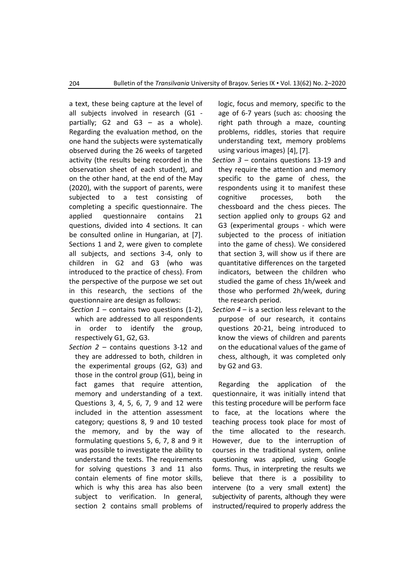a text, these being capture at the level of all subjects involved in research (G1 partially; G2 and G3 – as a whole). Regarding the evaluation method, on the one hand the subjects were systematically observed during the 26 weeks of targeted activity (the results being recorded in the observation sheet of each student), and on the other hand, at the end of the May (2020), with the support of parents, were subjected to a test consisting of completing a specific questionnaire. The applied questionnaire contains 21 questions, divided into 4 sections. It can be consulted online in Hungarian, at [7]. Sections 1 and 2, were given to complete all subjects, and sections 3-4, only to children in G2 and G3 (who was introduced to the practice of chess). From the perspective of the purpose we set out in this research, the sections of the questionnaire are design as follows:

- *Section 1* contains two questions (1-2), which are addressed to all respondents in order to identify the group, respectively G1, G2, G3.
- *Section 2* contains questions 3-12 and they are addressed to both, children in the experimental groups (G2, G3) and those in the control group (G1), being in fact games that require attention, memory and understanding of a text. Questions 3, 4, 5, 6, 7, 9 and 12 were included in the attention assessment category; questions 8, 9 and 10 tested the memory, and by the way of formulating questions 5, 6, 7, 8 and 9 it was possible to investigate the ability to understand the texts. The requirements for solving questions 3 and 11 also contain elements of fine motor skills, which is why this area has also been subject to verification. In general, section 2 contains small problems of

logic, focus and memory, specific to the age of 6-7 years (such as: choosing the right path through a maze, counting problems, riddles, stories that require understanding text, memory problems using various images) [4], [7].

- *Section 3* contains questions 13-19 and they require the attention and memory specific to the game of chess, the respondents using it to manifest these cognitive processes, both the chessboard and the chess pieces. The section applied only to groups G2 and G3 (experimental groups - which were subjected to the process of initiation into the game of chess). We considered that section 3, will show us if there are quantitative differences on the targeted indicators, between the children who studied the game of chess 1h/week and those who performed 2h/week, during the research period.
- *Section 4* is a section less relevant to the purpose of our research, it contains questions 20-21, being introduced to know the views of children and parents on the educational values of the game of chess, although, it was completed only by G2 and G3.

Regarding the application of the questionnaire, it was initially intend that this testing procedure will be perform face to face, at the locations where the teaching process took place for most of the time allocated to the research. However, due to the interruption of courses in the traditional system, online questioning was applied, using Google forms. Thus, in interpreting the results we believe that there is a possibility to intervene (to a very small extent) the subjectivity of parents, although they were instructed/required to properly address the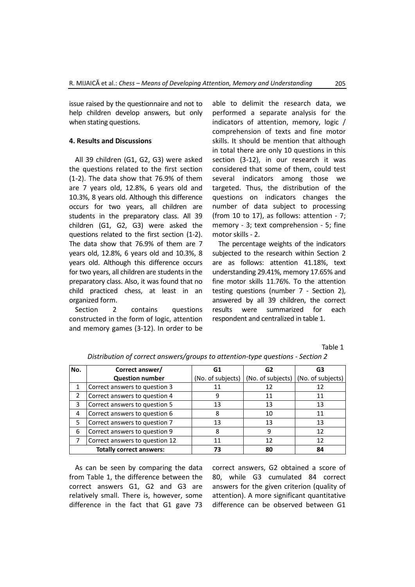issue raised by the questionnaire and not to help children develop answers, but only when stating questions.

#### **4. Results and Discussions**

All 39 children (G1, G2, G3) were asked the questions related to the first section (1-2). The data show that 76.9% of them are 7 years old, 12.8%, 6 years old and 10.3%, 8 years old. Although this difference occurs for two years, all children are students in the preparatory class. All 39 children (G1, G2, G3) were asked the questions related to the first section (1-2). The data show that 76.9% of them are 7 years old, 12.8%, 6 years old and 10.3%, 8 years old. Although this difference occurs for two years, all children are students in the preparatory class. Also, it was found that no child practiced chess, at least in an organized form.

Section 2 contains questions constructed in the form of logic, attention and memory games (3-12). In order to be

able to delimit the research data, we performed a separate analysis for the indicators of attention, memory, logic / comprehension of texts and fine motor skills. It should be mention that although in total there are only 10 questions in this section (3-12), in our research it was considered that some of them, could test several indicators among those we targeted. Thus, the distribution of the questions on indicators changes the number of data subject to processing (from 10 to 17), as follows: attention - 7; memory - 3; text comprehension - 5; fine motor skills - 2.

The percentage weights of the indicators subjected to the research within Section 2 are as follows: attention 41.18%, text understanding 29.41%, memory 17.65% and fine motor skills 11.76%. To the attention testing questions (number 7 - Section 2), answered by all 39 children, the correct results were summarized for each respondent and centralized in table 1.

Table 1

| No. | Correct answer/                 | G1                | G2                | G3                |  |
|-----|---------------------------------|-------------------|-------------------|-------------------|--|
|     | <b>Question number</b>          | (No. of subjects) | (No. of subjects) | (No. of subjects) |  |
| 1   | Correct answers to question 3   | 11                | 12                | 12                |  |
|     | Correct answers to question 4   | 9                 | 11                | 11                |  |
| 3   | Correct answers to question 5   | 13                | 13                | 13                |  |
| 4   | Correct answers to question 6   | 8                 | 10                | 11                |  |
| 5   | Correct answers to question 7   | 13                | 13                | 13                |  |
| 6   | Correct answers to question 9   | 8                 | 9                 | 12                |  |
|     | Correct answers to question 12  | 11                | 12                | 12                |  |
|     | <b>Totally correct answers:</b> | 73                | 80                | 84                |  |

*Distribution of correct answers/groups to attention-type questions - Section 2*

As can be seen by comparing the data from Table 1, the difference between the correct answers G1, G2 and G3 are relatively small. There is, however, some difference in the fact that G1 gave 73 correct answers, G2 obtained a score of 80, while G3 cumulated 84 correct answers for the given criterion (quality of attention). A more significant quantitative difference can be observed between G1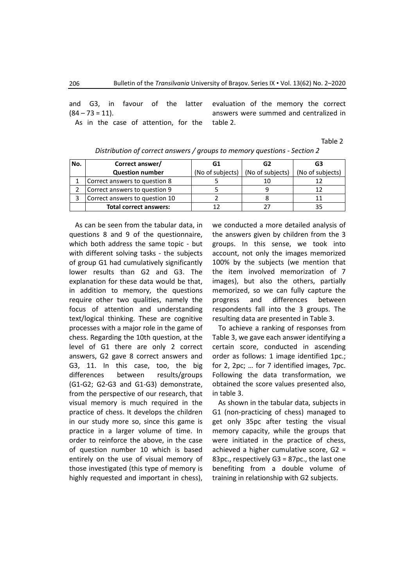and G3, in favour of the latter  $(84 - 73 = 11).$ 

As in the case of attention, for the

evaluation of the memory the correct answers were summed and centralized in table 2.

Table 2

| No. | Correct answer/                | G1               | G2               | G3               |  |
|-----|--------------------------------|------------------|------------------|------------------|--|
|     | <b>Question number</b>         | (No of subjects) | (No of subjects) | (No of subjects) |  |
|     | Correct answers to question 8  |                  |                  |                  |  |
|     | Correct answers to question 9  |                  |                  |                  |  |
|     | Correct answers to question 10 |                  |                  |                  |  |
|     | <b>Total correct answers:</b>  |                  |                  |                  |  |

*Distribution of correct answers / groups to memory questions - Section 2*

As can be seen from the tabular data, in questions 8 and 9 of the questionnaire, which both address the same topic - but with different solving tasks - the subjects of group G1 had cumulatively significantly lower results than G2 and G3. The explanation for these data would be that, in addition to memory, the questions require other two qualities, namely the focus of attention and understanding text/logical thinking. These are cognitive processes with a major role in the game of chess. Regarding the 10th question, at the level of G1 there are only 2 correct answers, G2 gave 8 correct answers and G3, 11. In this case, too, the big differences between results/groups (G1-G2; G2-G3 and G1-G3) demonstrate, from the perspective of our research, that visual memory is much required in the practice of chess. It develops the children in our study more so, since this game is practice in a larger volume of time. In order to reinforce the above, in the case of question number 10 which is based entirely on the use of visual memory of those investigated (this type of memory is highly requested and important in chess),

we conducted a more detailed analysis of the answers given by children from the 3 groups. In this sense, we took into account, not only the images memorized 100% by the subjects (we mention that the item involved memorization of 7 images), but also the others, partially memorized, so we can fully capture the progress and differences between respondents fall into the 3 groups. The resulting data are presented in Table 3.

To achieve a ranking of responses from Table 3, we gave each answer identifying a certain score, conducted in ascending order as follows: 1 image identified 1pc.; for 2, 2pc; … for 7 identified images, 7pc. Following the data transformation, we obtained the score values presented also, in table 3.

As shown in the tabular data, subjects in G1 (non-practicing of chess) managed to get only 35pc after testing the visual memory capacity, while the groups that were initiated in the practice of chess, achieved a higher cumulative score, G2 = 83pc., respectively G3 = 87pc., the last one benefiting from a double volume of training in relationship with G2 subjects.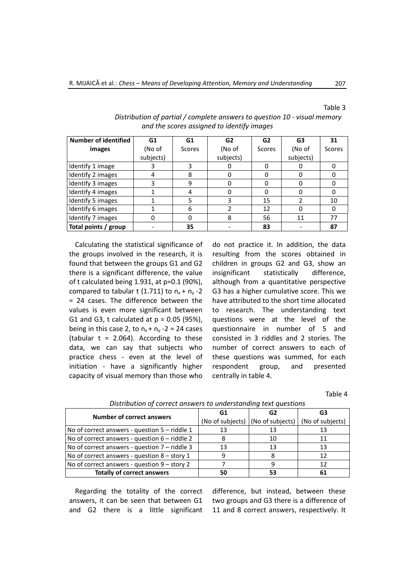#### Table 3

| <b>Number of identified</b> | G1           | G1     | G <sub>2</sub> | G2     | G3        | 31     |
|-----------------------------|--------------|--------|----------------|--------|-----------|--------|
| images                      | (No of       | Scores | (No of         | Scores | (No of    | Scores |
|                             | subjects)    |        | subjects)      |        | subjects) |        |
| Identify 1 image            |              | 3      |                |        |           |        |
| Identify 2 images           |              | 8      |                |        |           |        |
| Identify 3 images           |              | 9      |                |        |           |        |
| Identify 4 images           |              | 4      |                | ი      | 0         |        |
| Identify 5 images           |              |        |                | 15     |           | 10     |
| Identify 6 images           |              | 6      |                | 12     | 0         |        |
| Identify 7 images           | $\mathbf{0}$ | O      | 8              | 56     | 11        | 77     |
| Total points / group        |              | 35     |                | 83     |           | 87     |

## *Distribution of partial / complete answers to question 10 - visual memory and the scores assigned to identify images*

Calculating the statistical significance of the groups involved in the research, it is found that between the groups G1 and G2 there is a significant difference, the value of t calculated being 1.931, at p=0.1 (90%), compared to tabular t (1.711) to  $n_x + n_y - 2$ = 24 cases. The difference between the values is even more significant between G1 and G3, t calculated at  $p = 0.05$  (95%), being in this case 2, to  $n_x + n_y - 2 = 24$  cases (tabular  $t = 2.064$ ). According to these data, we can say that subjects who practice chess - even at the level of initiation - have a significantly higher capacity of visual memory than those who

do not practice it. In addition, the data resulting from the scores obtained in children in groups G2 and G3, show an insignificant statistically difference, although from a quantitative perspective G3 has a higher cumulative score. This we have attributed to the short time allocated to research. The understanding text questions were at the level of the questionnaire in number of 5 and consisted in 3 riddles and 2 stories. The number of correct answers to each of these questions was summed, for each respondent group, and presented centrally in table 4.

Table 4

| <b>Number of correct answers</b>                | G1               | G2               | G3               |  |
|-------------------------------------------------|------------------|------------------|------------------|--|
|                                                 | (No of subjects) | (No of subjects) | (No of subjects) |  |
| No of correct answers - question $5 -$ riddle 1 | 13               | 13               | 13               |  |
| No of correct answers - question $6$ – riddle 2 |                  | 10               | 11               |  |
| No of correct answers - question $7$ – riddle 3 | 13               | 13               | 13               |  |
| No of correct answers - question 8 - story 1    | q                |                  | 12               |  |
| No of correct answers - question $9 -$ story 2  |                  | q                | 12               |  |
| <b>Totally of correct answers</b>               | 50               | 53               | 61               |  |

#### *Distribution of correct answers to understanding text questions*

Regarding the totality of the correct answers, it can be seen that between G1 and G2 there is a little significant difference, but instead, between these two groups and G3 there is a difference of 11 and 8 correct answers, respectively. It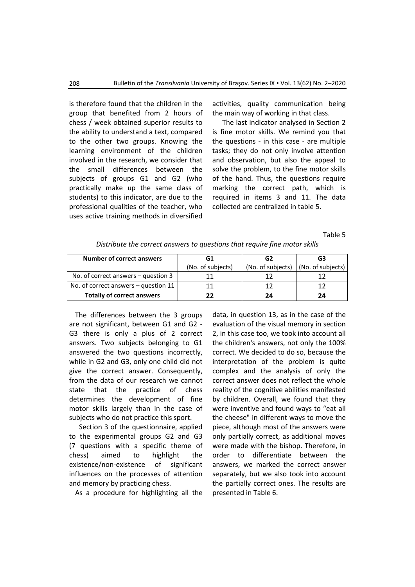is therefore found that the children in the group that benefited from 2 hours of chess / week obtained superior results to the ability to understand a text, compared to the other two groups. Knowing the learning environment of the children involved in the research, we consider that the small differences between the subjects of groups G1 and G2 (who practically make up the same class of students) to this indicator, are due to the professional qualities of the teacher, who uses active training methods in diversified

activities, quality communication being the main way of working in that class.

The last indicator analysed in Section 2 is fine motor skills. We remind you that the questions - in this case - are multiple tasks; they do not only involve attention and observation, but also the appeal to solve the problem, to the fine motor skills of the hand. Thus, the questions require marking the correct path, which is required in items 3 and 11. The data collected are centralized in table 5.

Table 5

| Number of correct answers              | G1                | G2                | G3                |  |
|----------------------------------------|-------------------|-------------------|-------------------|--|
|                                        | (No. of subjects) | (No. of subjects) | (No. of subjects) |  |
| No. of correct answers $-$ question 3  |                   |                   |                   |  |
| No. of correct answers $-$ question 11 |                   |                   |                   |  |
| <b>Totally of correct answers</b>      |                   | 24                | 24                |  |

*Distribute the correct answers to questions that require fine motor skills*

The differences between the 3 groups are not significant, between G1 and G2 - G3 there is only a plus of 2 correct answers. Two subjects belonging to G1 answered the two questions incorrectly, while in G2 and G3, only one child did not give the correct answer. Consequently, from the data of our research we cannot state that the practice of chess determines the development of fine motor skills largely than in the case of subjects who do not practice this sport.

Section 3 of the questionnaire, applied to the experimental groups G2 and G3 (7 questions with a specific theme of chess) aimed to highlight the existence/non-existence of significant influences on the processes of attention and memory by practicing chess.

As a procedure for highlighting all the

data, in question 13, as in the case of the evaluation of the visual memory in section 2, in this case too, we took into account all the children's answers, not only the 100% correct. We decided to do so, because the interpretation of the problem is quite complex and the analysis of only the correct answer does not reflect the whole reality of the cognitive abilities manifested by children. Overall, we found that they were inventive and found ways to "eat all the cheese" in different ways to move the piece, although most of the answers were only partially correct, as additional moves were made with the bishop. Therefore, in order to differentiate between the answers, we marked the correct answer separately, but we also took into account the partially correct ones. The results are presented in Table 6.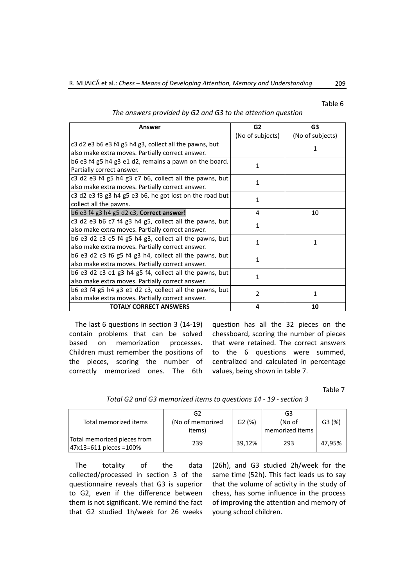#### Table 6

| Answer                                                      | G <sub>2</sub>   | G <sub>3</sub>   |  |
|-------------------------------------------------------------|------------------|------------------|--|
|                                                             | (No of subjects) | (No of subjects) |  |
| $c3$ d2 e3 b6 e3 f4 g5 h4 g3, collect all the pawns, but    |                  | 1                |  |
| also make extra moves. Partially correct answer.            |                  |                  |  |
| b6 e3 f4 g5 h4 g3 e1 d2, remains a pawn on the board.       | 1                |                  |  |
| Partially correct answer.                                   |                  |                  |  |
| c3 d2 e3 f4 g5 h4 g3 c7 b6, collect all the pawns, but      | 1                |                  |  |
| also make extra moves. Partially correct answer.            |                  |                  |  |
| $c3$ d2 e3 f3 g3 h4 g5 e3 b6, he got lost on the road but   | 1                |                  |  |
| collect all the pawns.                                      |                  |                  |  |
| b6 e3 f4 g3 h4 g5 d2 c3, <b>Correct answer!</b>             | 4                | 10               |  |
| c3 d2 e3 b6 c7 f4 g3 h4 g5, collect all the pawns, but<br>1 |                  |                  |  |
| also make extra moves. Partially correct answer.            |                  |                  |  |
| b6 e3 d2 c3 e5 f4 g5 h4 g3, collect all the pawns, but      | 1                | 1                |  |
| also make extra moves. Partially correct answer.            |                  |                  |  |
| b6 e3 d2 c3 f6 g5 f4 g3 h4, collect all the pawns, but      | 1                |                  |  |
| also make extra moves. Partially correct answer.            |                  |                  |  |
| b6 e3 d2 c3 e1 g3 h4 g5 f4, collect all the pawns, but      | 1                |                  |  |
| also make extra moves. Partially correct answer.            |                  |                  |  |
| b6 e3 f4 g5 h4 g3 e1 d2 c3, collect all the pawns, but      | 2                | 1                |  |
| also make extra moves. Partially correct answer.            |                  |                  |  |
| <b>TOTALY CORRECT ANSWERS</b>                               | 4                | 10               |  |

*The answers provided by G2 and G3 to the attention question*

The last 6 questions in section 3 (14-19) contain problems that can be solved based on memorization processes. Children must remember the positions of the pieces, scoring the number of correctly memorized ones. The 6th

question has all the 32 pieces on the chessboard, scoring the number of pieces that were retained. The correct answers to the 6 questions were summed, centralized and calculated in percentage values, being shown in table 7.

Table 7

| Total memorized items                                    | G2<br>(No of memorized<br>items) | G2(%)  | G3<br>(No of<br>memorized items | G3(%)  |
|----------------------------------------------------------|----------------------------------|--------|---------------------------------|--------|
| Total memorized pieces from<br>$ 47x13=611$ pieces =100% | 239                              | 39.12% | 293                             | 47.95% |

*Total G2 and G3 memorized items to questions 14 - 19 - section 3*

The totality of the data collected/processed in section 3 of the questionnaire reveals that G3 is superior to G2, even if the difference between them is not significant. We remind the fact that G2 studied 1h/week for 26 weeks

(26h), and G3 studied 2h/week for the same time (52h). This fact leads us to say that the volume of activity in the study of chess, has some influence in the process of improving the attention and memory of young school children.